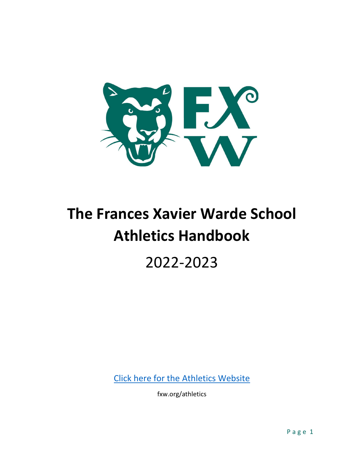

# **The Frances Xavier Warde School Athletics Handbook**

## 2022-2023

Click here for the Athletics Website

fxw.org/athletics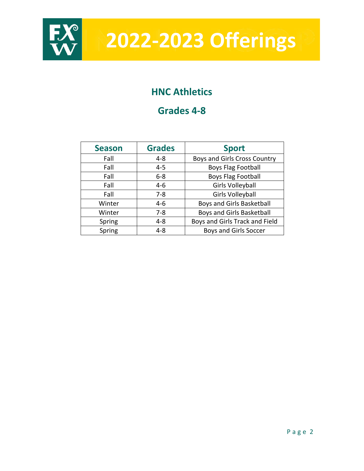

**2022-2023 Offerings**

## **HNC Athletics**

## **Grades 4-8**

| <b>Season</b> | <b>Grades</b> | <b>Sport</b>                   |  |  |  |
|---------------|---------------|--------------------------------|--|--|--|
| Fall          | $4 - 8$       | Boys and Girls Cross Country   |  |  |  |
| Fall          | $4 - 5$       | <b>Boys Flag Football</b>      |  |  |  |
| Fall          | $6 - 8$       | <b>Boys Flag Football</b>      |  |  |  |
| Fall          | $4 - 6$       | <b>Girls Volleyball</b>        |  |  |  |
| Fall          | $7 - 8$       | <b>Girls Volleyball</b>        |  |  |  |
| Winter        | $4 - 6$       | Boys and Girls Basketball      |  |  |  |
| Winter        | $7 - 8$       | Boys and Girls Basketball      |  |  |  |
| Spring        | $4 - 8$       | Boys and Girls Track and Field |  |  |  |
| Spring        | 4-8           | <b>Boys and Girls Soccer</b>   |  |  |  |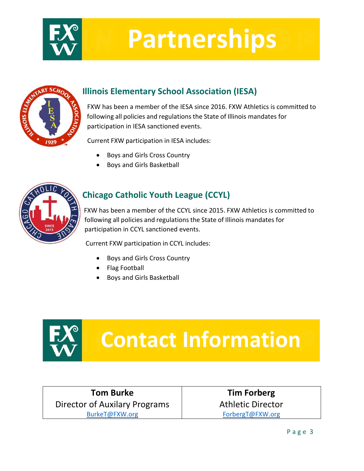

# **Partnerships**



## **Illinois Elementary School Association (IESA)**

 FXW has been a member of the IESA since 2016. FXW Athletics is committed to following all policies and regulationsthe State of Illinois mandates for participation in IESA sanctioned events.

Current FXW participation in IESA includes:

- Boys and Girls Cross Country
- Boys and Girls Basketball



### **Chicago Catholic Youth League (CCYL)**

FXW has been a member of the CCYL since 2015. FXW Athletics is committed to following all policies and regulationsthe State of Illinois mandates for participation in CCYL sanctioned events.

Current FXW participation in CCYL includes:

- Boys and Girls Cross Country
- Flag Football
- Boys and Girls Basketball



# **Contact Information**

**Tom Burke** Director of Auxilary Programs [BurkeT@FXW.org](mailto:BurkeT@FXW.org)

**Tim Forberg** Athletic Director [ForbergT@FXW.org](mailto:ForbergT@FXW.org)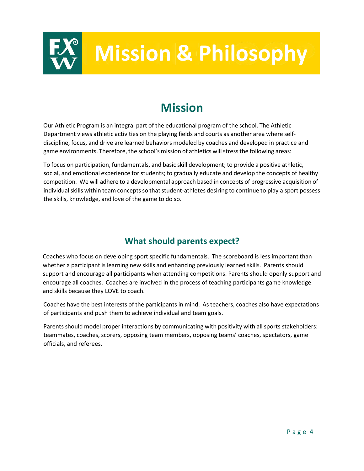

## **Mission**

Our Athletic Program is an integral part of the educational program of the school. The Athletic Department views athletic activities on the playing fields and courts as another area where selfdiscipline, focus, and drive are learned behaviors modeled by coaches and developed in practice and game environments. Therefore, the school's mission of athletics will stress the following areas:

To focus on participation, fundamentals, and basic skill development; to provide a positive athletic, social, and emotional experience for students; to gradually educate and develop the concepts of healthy competition. We will adhere to a developmental approach based in concepts of progressive acquisition of individual skills within team concepts so that student-athletes desiring to continue to play a sport possess the skills, knowledge, and love of the game to do so.

### **What should parents expect?**

Coaches who focus on developing sport specific fundamentals. The scoreboard is less important than whether a participant is learning new skills and enhancing previously learned skills. Parents should support and encourage all participants when attending competitions. Parents should openly support and encourage all coaches. Coaches are involved in the process of teaching participants game knowledge and skills because they LOVE to coach.

Coaches have the best interests of the participants in mind. As teachers, coaches also have expectations of participants and push them to achieve individual and team goals.

Parents should model proper interactions by communicating with positivity with all sports stakeholders: teammates, coaches, scorers, opposing team members, opposing teams' coaches, spectators, game officials, and referees.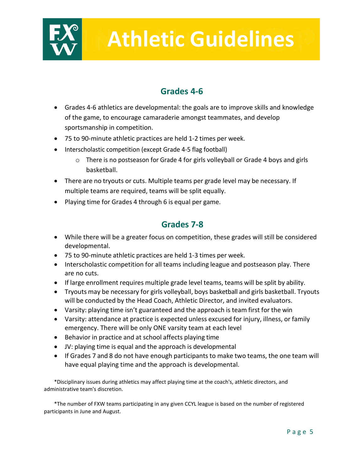

# **Athletic Guidelines**

### **Grades 4-6**

- Grades 4-6 athletics are developmental: the goals are to improve skills and knowledge of the game, to encourage camaraderie amongst teammates, and develop sportsmanship in competition.
- 75 to 90-minute athletic practices are held 1-2 times per week.
- Interscholastic competition (except Grade 4-5 flag football)
	- o There is no postseason for Grade 4 for girls volleyball or Grade 4 boys and girls basketball.
- There are no tryouts or cuts. Multiple teams per grade level may be necessary. If multiple teams are required, teams will be split equally.
- Playing time for Grades 4 through 6 is equal per game.

### **Grades 7-8**

- While there will be a greater focus on competition, these grades will still be considered developmental.
- 75 to 90-minute athletic practices are held 1-3 times per week.
- Interscholastic competition for all teams including league and postseason play. There are no cuts.
- If large enrollment requires multiple grade level teams, teams will be split by ability.
- Tryouts may be necessary for girls volleyball, boys basketball and girls basketball. Tryouts will be conducted by the Head Coach, Athletic Director, and invited evaluators.
- Varsity: playing time isn't guaranteed and the approach is team first for the win
- Varsity: attendance at practice is expected unless excused for injury, illness, or family emergency. There will be only ONE varsity team at each level
- Behavior in practice and at school affects playing time
- JV: playing time is equal and the approach is developmental
- If Grades 7 and 8 do not have enough participants to make two teams, the one team will have equal playing time and the approach is developmental.

\*Disciplinary issues during athletics may affect playing time at the coach's, athletic directors, and administrative team's discretion.

\*The number of FXW teams participating in any given CCYL league is based on the number of registered participants in June and August.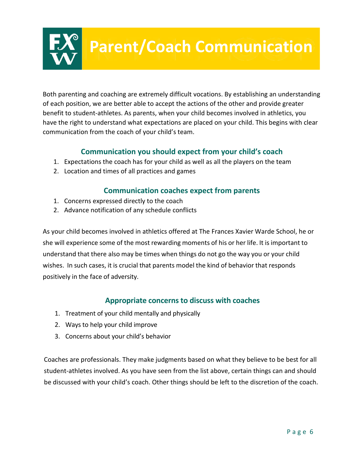## **Parent/Coach Communication**

Both parenting and coaching are extremely difficult vocations. By establishing an understanding of each position, we are better able to accept the actions of the other and provide greater benefit to student-athletes. As parents, when your child becomes involved in athletics, you have the right to understand what expectations are placed on your child. This begins with clear communication from the coach of your child's team.

#### **Communication you should expect from your child's coach**

- 1. Expectations the coach has for your child as well as all the players on the team
- 2. Location and times of all practices and games

#### **Communication coaches expect from parents**

- 1. Concerns expressed directly to the coach
- 2. Advance notification of any schedule conflicts

As your child becomes involved in athletics offered at The Frances Xavier Warde School, he or she will experience some of the most rewarding moments of his or her life. It is important to understand that there also may be times when things do not go the way you or your child wishes. In such cases, it is crucial that parents model the kind of behavior that responds positively in the face of adversity.

#### **Appropriate concerns to discuss with coaches**

- 1. Treatment of your child mentally and physically
- 2. Ways to help your child improve
- 3. Concerns about your child's behavior

Coaches are professionals. They make judgments based on what they believe to be best for all student-athletes involved. As you have seen from the list above, certain things can and should be discussed with your child's coach. Other things should be left to the discretion of the coach.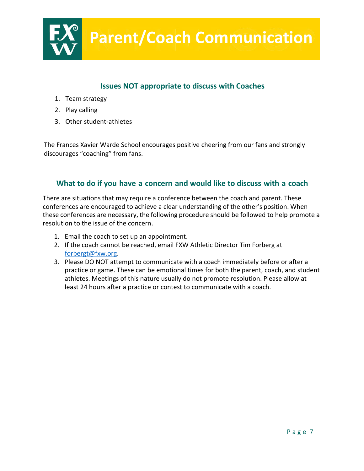

#### **Issues NOT appropriate to discuss with Coaches**

- 1. Team strategy
- 2. Play calling
- 3. Other student-athletes

The Frances Xavier Warde School encourages positive cheering from our fans and strongly discourages "coaching" from fans.

#### **What to do if you have a concern and would like to discuss with a coach**

There are situations that may require a conference between the coach and parent. These conferences are encouraged to achieve a clear understanding of the other's position. When these conferences are necessary, the following procedure should be followed to help promote a resolution to the issue of the concern.

- 1. Email the coach to set up an appointment.
- 2. If the coach cannot be reached, email FXW Athletic Director Tim Forberg at [forbergt@fxw.org.](mailto:forbergt@fxw.org)
- 3. Please DO NOT attempt to communicate with a coach immediately before or after a practice or game. These can be emotional times for both the parent, coach, and student athletes. Meetings of this nature usually do not promote resolution. Please allow at least 24 hours after a practice or contest to communicate with a coach.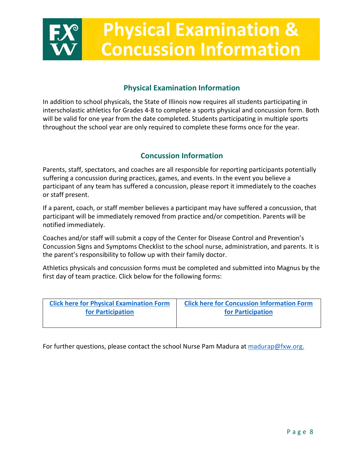# **Physical Examination & Concussion Information**

#### **Physical Examination Information**

In addition to school physicals, the State of Illinois now requires all students participating in interscholastic athletics for Grades 4-8 to complete a sports physical and concussion form. Both will be valid for one year from the date completed. Students participating in multiple sports throughout the school year are only required to complete these forms once for the year.

#### **Concussion Information**

Parents, staff, spectators, and coaches are all responsible for reporting participants potentially suffering a concussion during practices, games, and events. In the event you believe a participant of any team has suffered a concussion, please report it immediately to the coaches or staff present.

If a parent, coach, or staff member believes a participant may have suffered a concussion, that participant will be immediately removed from practice and/or competition. Parents will be notified immediately.

Coaches and/or staff will submit a copy of the Center for Disease Control and Prevention's Concussion Signs and Symptoms Checklist to the school nurse, administration, and parents. It is the parent's responsibility to follow up with their family doctor.

Athletics physicals and concussion forms must be completed and submitted into Magnus by the first day of team practice. Click below for the following forms:

| <b>Click here for Physical Examination Form</b> | <b>Click here for Concussion Information Form</b> |  |  |  |  |  |
|-------------------------------------------------|---------------------------------------------------|--|--|--|--|--|
| for Participation                               | for Participation                                 |  |  |  |  |  |
|                                                 |                                                   |  |  |  |  |  |

For further questions, please contact the school Nurse Pam Madura at [madurap@fxw.org.](mailto:madurap@fxw.org)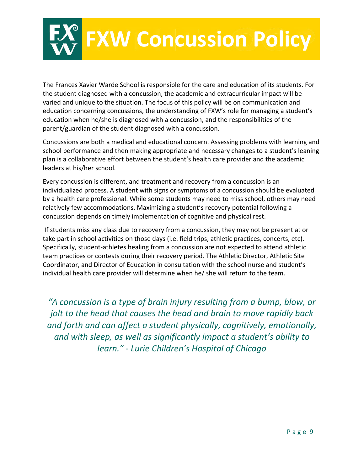

The Frances Xavier Warde School is responsible for the care and education of its students. For the student diagnosed with a concussion, the academic and extracurricular impact will be varied and unique to the situation. The focus of this policy will be on communication and education concerning concussions, the understanding of FXW's role for managing a student's education when he/she is diagnosed with a concussion, and the responsibilities of the parent/guardian of the student diagnosed with a concussion.

Concussions are both a medical and educational concern. Assessing problems with learning and school performance and then making appropriate and necessary changes to a student's leaning plan is a collaborative effort between the student's health care provider and the academic leaders at his/her school.

Every concussion is different, and treatment and recovery from a concussion is an individualized process. A student with signs or symptoms of a concussion should be evaluated by a health care professional. While some students may need to miss school, others may need relatively few accommodations. Maximizing a student's recovery potential following a concussion depends on timely implementation of cognitive and physical rest.

If students miss any class due to recovery from a concussion, they may not be present at or take part in school activities on those days (i.e. field trips, athletic practices, concerts, etc). Specifically, student-athletes healing from a concussion are not expected to attend athletic team practices or contests during their recovery period. The Athletic Director, Athletic Site Coordinator, and Director of Education in consultation with the school nurse and student's individual health care provider will determine when he/ she will return to the team.

*"A concussion is a type of brain injury resulting from a bump, blow, or jolt to the head that causes the head and brain to move rapidly back and forth and can affect a student physically, cognitively, emotionally, and with sleep, as well as significantly impact a student's ability to learn." - Lurie Children's Hospital of Chicago*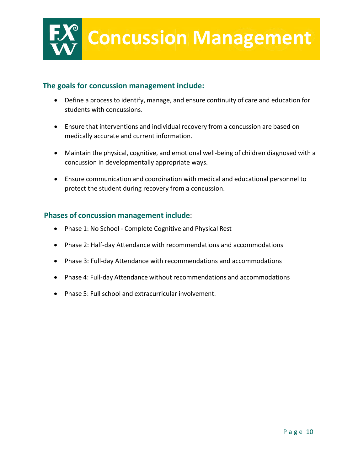

#### **The goals for concussion management include:**

- Define a process to identify, manage, and ensure continuity of care and education for students with concussions.
- Ensure that interventions and individual recovery from a concussion are based on medically accurate and current information.
- Maintain the physical, cognitive, and emotional well-being of children diagnosed with a concussion in developmentally appropriate ways.
- Ensure communication and coordination with medical and educational personnel to protect the student during recovery from a concussion.

#### **Phases of concussion management include**:

- Phase 1: No School Complete Cognitive and Physical Rest
- Phase 2: Half-day Attendance with recommendations and accommodations
- Phase 3: Full-day Attendance with recommendations and accommodations
- Phase 4: Full-day Attendance without recommendations and accommodations
- Phase 5: Full school and extracurricular involvement.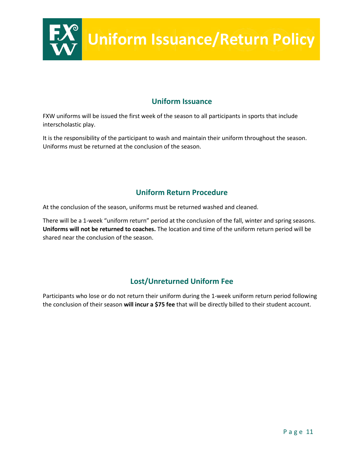

#### **Uniform Issuance**

FXW uniforms will be issued the first week of the season to all participants in sports that include interscholastic play.

It is the responsibility of the participant to wash and maintain their uniform throughout the season. Uniforms must be returned at the conclusion of the season.

#### **Uniform Return Procedure**

At the conclusion of the season, uniforms must be returned washed and cleaned.

There will be a 1-week "uniform return" period at the conclusion of the fall, winter and spring seasons. **Uniforms will not be returned to coaches.** The location and time of the uniform return period will be shared near the conclusion of the season.

#### **Lost/Unreturned Uniform Fee**

Participants who lose or do not return their uniform during the 1-week uniform return period following the conclusion of their season **will incur a \$75 fee** that will be directly billed to their student account.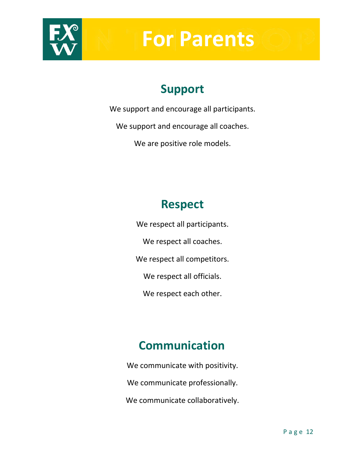

# **For Parents**

## **Support**

We support and encourage all participants.

We support and encourage all coaches.

We are positive role models.

## **Respect**

We respect all participants. We respect all coaches. We respect all competitors. We respect all officials. We respect each other.

## **Communication**

We communicate with positivity. We communicate professionally. We communicate collaboratively.